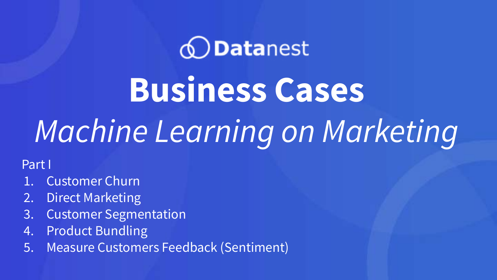### *<u>ODatanest</u>*

**Business Cases** 

## *Machine Learning on Marketing*

Part I

- 1. Customer Churn
- 2. Direct Marketing
- 3. Customer Segmentation
- 4. Product Bundling
- 5. Measure Customers Feedback (Sentiment)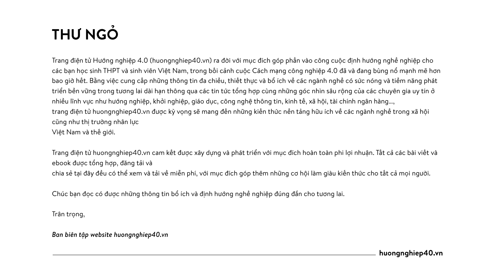### **THƯ NGỎ**

Trang điện tử Hướng nghiệp 4.0 (huongnghiep40.vn) ra đời với mục đích góp phần vào công cuộc định hướng nghề nghiệp cho các ban học sinh THPT và sinh viên Việt Nam, trong bối cảnh cuộc Cách mạng công nghiệp 4.0 đã và đang bùng nổ mạnh mẽ hơn bao giờ hết. Bằng việc cung cấp những thông tin đa chiều, thiết thực và bổ ích về các ngành nghề có sức nóng và tiềm năng phát triển bền vững trong tương lai dài hạn thông qua các tin tức tổng hợp cùng những góc nhìn sâu rộng của các chuyên gia uy tín ở nhiều lĩnh vực như hướng nghiệp, khởi nghiệp, giáo dục, công nghệ thông tin, kinh tế, xã hội, tài chính ngân hàng…, trang điện tử huongnghiep40.vn được kỳ vọng sẽ mang đến những kiến thức nền tảng hữu ích về các ngành nghề trong xã hội cũng như thị trường nhân lực Việt Nam và thế giới.

Trang điện tử huongnghiep40.vn cam kết được xây dựng và phát triển với mục đích hoàn toàn phi lợi nhuận. Tất cả các bài viết và ebook được tổng hợp, đăng tải và chia sẻ tại đây đều có thể xem và tải về miễn phí, với mục đích góp thêm những cơ hội làm giàu kiến thức cho tất cả mọi người.

Chúc bạn đọc có được những thông tin bổ ích và định hướng nghề nghiệp đúng đắn cho tương lai.

Trân trong,

*Ban biên tập website huongnghiep40.vn*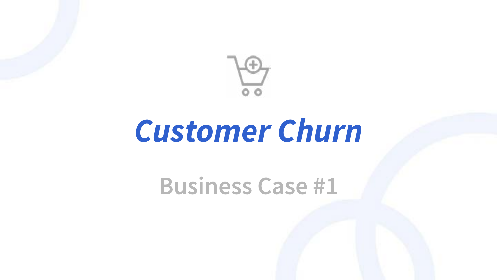

### *Customer Churn*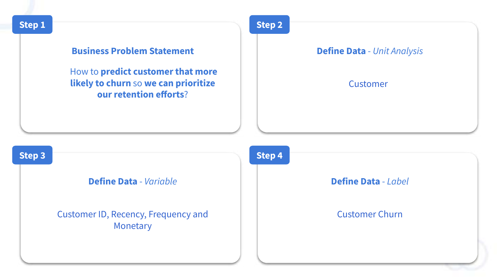

#### **Business Problem Statement**

How to **predict customer that more likely to churn** so **we can prioritize our retention efforts**?

**Step 2**

#### **Define Data** - *Unit Analysis*

#### **Customer**

**Step 3**

#### **Define Data** - *Variable*

Customer ID, Recency, Frequency and Monetary

#### **Step 4**

#### **Define Data** - *Label*

#### Customer Churn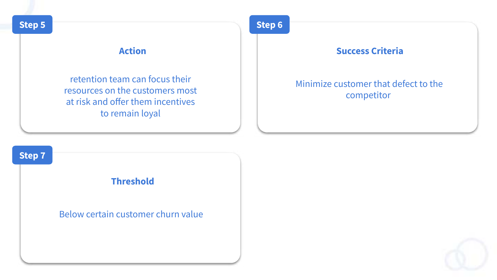#### **Action**

retention team can focus their resources on the customers most at risk and offer them incentives to remain loyal

#### **Step 6**

#### **Success Criteria**

#### Minimize customer that defect to the competitor

# **Threshold Step 7** Below certain customer churn value

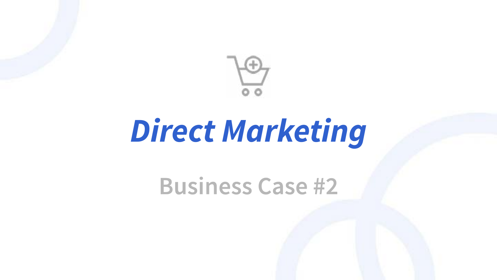

### *Direct Marketing*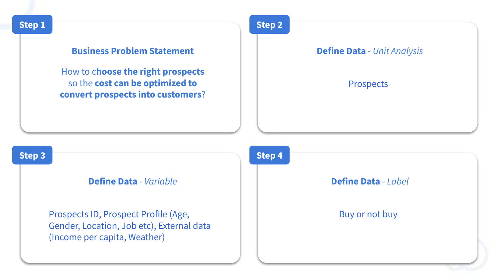

#### **Business Problem Statement**

How to c**hoose the right prospects**  so the **cost can be optimized to convert prospects into customers**? **Step 2**

#### **Define Data** - *Unit Analysis*

#### **Prospects**

#### **Step 3**

#### **Define Data** - *Variable*

Prospects ID, Prospect Profile (Age, Gender, Location, Job etc), External data (Income per capita, Weather)



#### **Define Data** - *Label*

#### Buy or not buy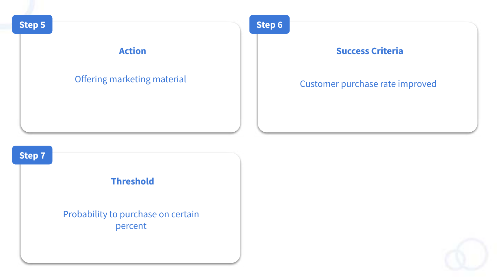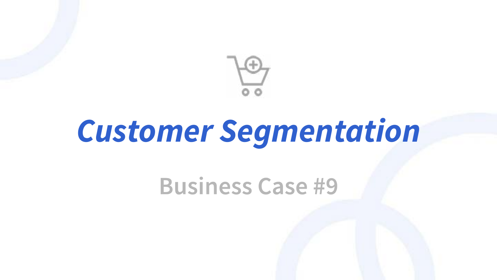

## *Customer Segmentation*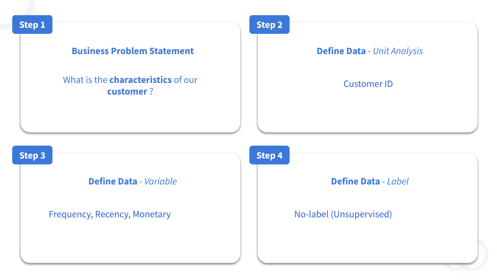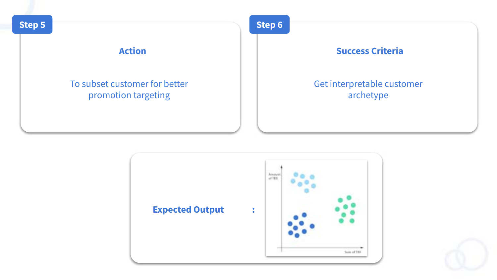



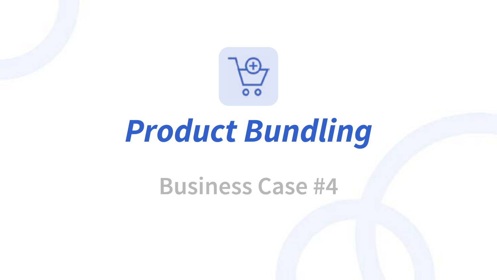

### *Product Bundling*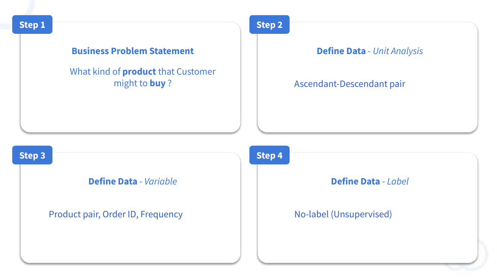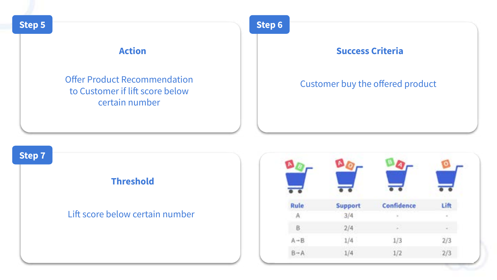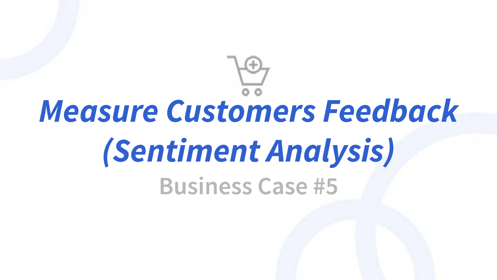# *Measure Customers Feedback (Sentiment Analysis)***Business Case #5**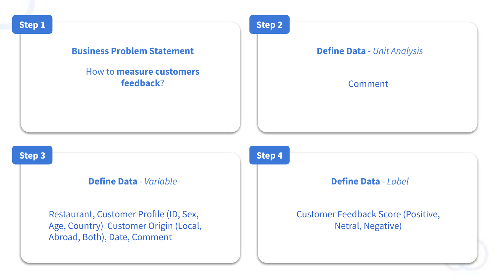